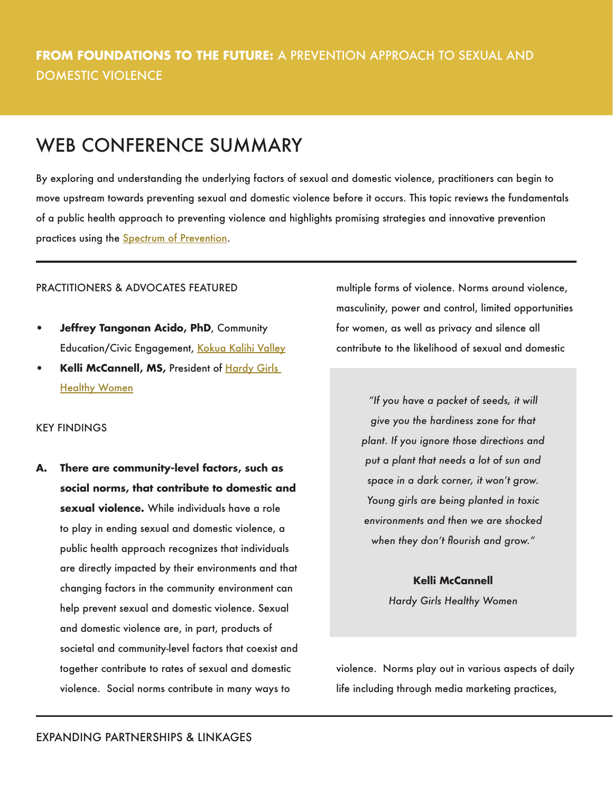# WEB CONFERENCE SUMMARY

By exploring and understanding the underlying factors of sexual and domestic violence, practitioners can begin to move upstream towards preventing sexual and domestic violence before it occurs. This topic reviews the fundamentals of a public health approach to preventing violence and highlights promising strategies and innovative prevention practices using the **Spectrum of Prevention**.

## PRACTITIONERS & ADVOCATES FEATURED

- **• Jeffrey Tangonan Acido, PhD**, Community Education/Civic Engagement[, Kokua Kalihi Valley](http://r20.rs6.net/tn.jsp?e=001O8cD9l4VTlntyYSsGlqnLEXk3pan93E3zZYXYjKxTayUCwjVsuBhTQVYKqzpZAQhNrHu25idkr5AlTJHlfVIb3aJkfsZ56pZ)
- **• Kelli McCannell, MS,** President of [Hardy Girls](http://r20.rs6.net/tn.jsp?e=001O8cD9l4VTlntyYSsGlqnLEXk3pan93E3zZYXYjKxTayUCwjVsuBhTQVYKqzpZAQhNrHu25idkr7klGgam6hOW5Qz_DekjeaI)  **[Healthy Women](http://r20.rs6.net/tn.jsp?e=001O8cD9l4VTlntyYSsGlqnLEXk3pan93E3zZYXYjKxTayUCwjVsuBhTQVYKqzpZAQhNrHu25idkr7klGgam6hOW5Qz_DekjeaI)**

#### KEY FINDINGS

**A. There are community-level factors, such as social norms, that contribute to domestic and sexual violence.** While individuals have a role to play in ending sexual and domestic violence, a public health approach recognizes that individuals are directly impacted by their environments and that changing factors in the community environment can help prevent sexual and domestic violence. Sexual and domestic violence are, in part, products of societal and community-level factors that coexist and together contribute to rates of sexual and domestic violence. Social norms contribute in many ways to

multiple forms of violence. Norms around violence, masculinity, power and control, limited opportunities for women, as well as privacy and silence all contribute to the likelihood of sexual and domestic

> *"If you have a packet of seeds, it will give you the hardiness zone for that plant. If you ignore those directions and put a plant that needs a lot of sun and space in a dark corner, it won't grow. Young girls are being planted in toxic environments and then we are shocked when they don't flourish and grow."*

### **Kelli McCannell**

*Hardy Girls Healthy Women*

violence. Norms play out in various aspects of daily life including through media marketing practices,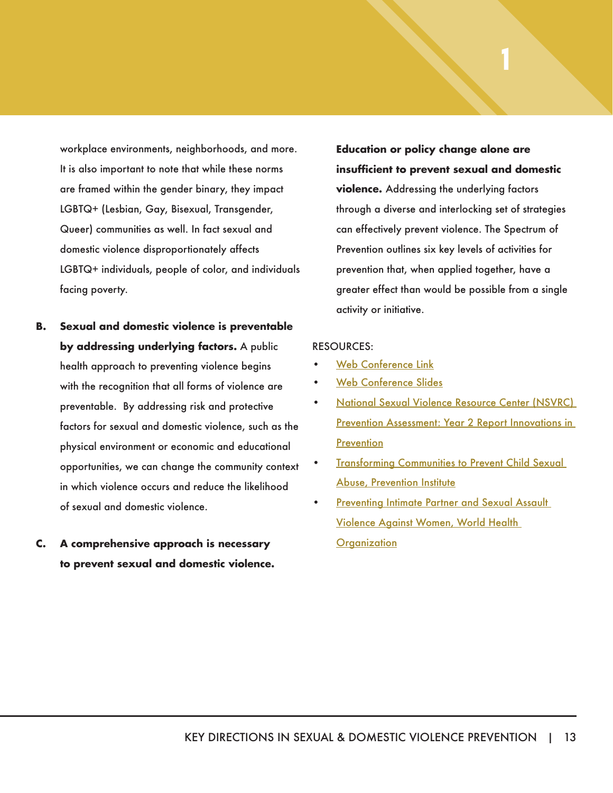workplace environments, neighborhoods, and more. It is also important to note that while these norms are framed within the gender binary, they impact LGBTQ+ (Lesbian, Gay, Bisexual, Transgender, Queer) communities as well. In fact sexual and domestic violence disproportionately affects LGBTQ+ individuals, people of color, and individuals facing poverty.

- **B. Sexual and domestic violence is preventable by addressing underlying factors.** A public health approach to preventing violence begins with the recognition that all forms of violence are preventable. By addressing risk and protective factors for sexual and domestic violence, such as the physical environment or economic and educational opportunities, we can change the community context in which violence occurs and reduce the likelihood of sexual and domestic violence.
- **C. A comprehensive approach is necessary to prevent sexual and domestic violence.**

**Education or policy change alone are insufficient to prevent sexual and domestic violence.** Addressing the underlying factors through a diverse and interlocking set of strategies can effectively prevent violence. The Spectrum of Prevention outlines six key levels of activities for prevention that, when applied together, have a greater effect than would be possible from a single activity or initiative.

1

#### RESOURCES:

- [Web Conference Link](http://www.preventconnect.org/2016/01/from-foundations-to-the-future-a-prevention-approach-to-sexual-and-domestic-violence-2/)
- [Web Conference Slides](http://www.preventconnect.org/2016/01/from-foundations-to-the-future-a-prevention-approach-to-sexual-and-domestic-violence-2/)
- [National Sexual Violence Resource Center \(NSVRC\)](https://www.nsvrc.org/sites/default/files/Publications_NSVRC_Reports_Prevention-Assessment_Year2-Innovations-In-Prevention_0.pdf)  **Prevention Assessment: Year 2 Report Innovations in Prevention**
- **Transforming Communities to Prevent Child Sexual** Abuse, Prevention Institute
- [Preventing Intimate Partner and Sexual Assault](http://www.who.int/violence_injury_prevention/publications/violence/9789241564007_eng.pdf)  Violence Against Women, World Health **Organization**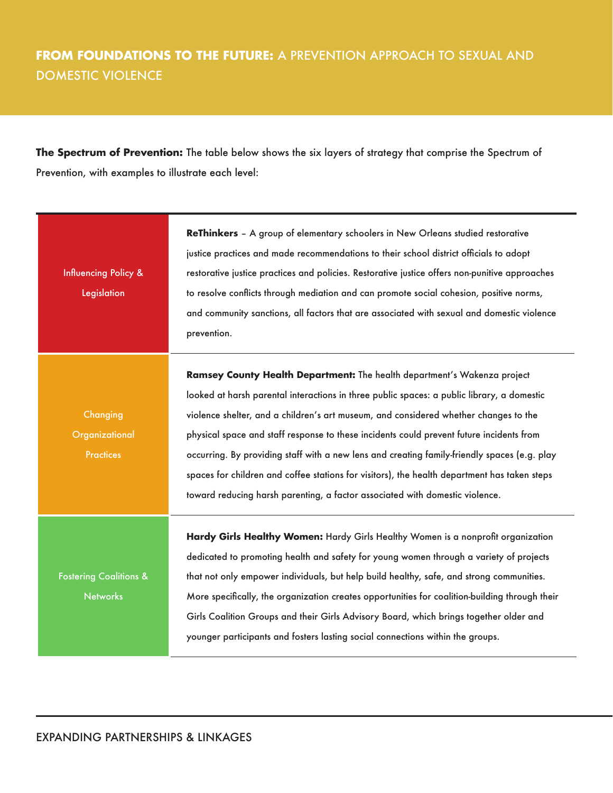**The Spectrum of Prevention:** The table below shows the six layers of strategy that comprise the Spectrum of Prevention, with examples to illustrate each level:

| <b>Influencing Policy &amp;</b><br>Legislation       | ReThinkers - A group of elementary schoolers in New Orleans studied restorative<br>justice practices and made recommendations to their school district officials to adopt<br>restorative justice practices and policies. Restorative justice offers non-punitive approaches<br>to resolve conflicts through mediation and can promote social cohesion, positive norms,<br>and community sanctions, all factors that are associated with sexual and domestic violence<br>prevention.                                                                                                                                                        |
|------------------------------------------------------|--------------------------------------------------------------------------------------------------------------------------------------------------------------------------------------------------------------------------------------------------------------------------------------------------------------------------------------------------------------------------------------------------------------------------------------------------------------------------------------------------------------------------------------------------------------------------------------------------------------------------------------------|
| Changing<br>Organizational<br><b>Practices</b>       | Ramsey County Health Department: The health department's Wakenza project<br>looked at harsh parental interactions in three public spaces: a public library, a domestic<br>violence shelter, and a children's art museum, and considered whether changes to the<br>physical space and staff response to these incidents could prevent future incidents from<br>occurring. By providing staff with a new lens and creating family-friendly spaces (e.g. play<br>spaces for children and coffee stations for visitors), the health department has taken steps<br>toward reducing harsh parenting, a factor associated with domestic violence. |
| <b>Fostering Coalitions &amp;</b><br><b>Networks</b> | Hardy Girls Healthy Women: Hardy Girls Healthy Women is a nonprofit organization<br>dedicated to promoting health and safety for young women through a variety of projects<br>that not only empower individuals, but help build healthy, safe, and strong communities.<br>More specifically, the organization creates opportunities for coalition-building through their<br>Girls Coalition Groups and their Girls Advisory Board, which brings together older and<br>younger participants and fosters lasting social connections within the groups.                                                                                       |